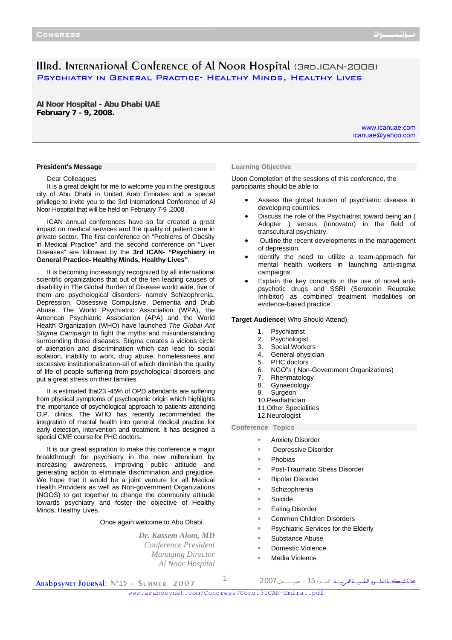# IIIrd. International Conference of Al Noor Hospital (3rd.ICAN-2008) Psychiatry in General Practice- Healthy Minds, Healthy Lives

**Al Noor Hospital - Abu Dhabi UAE February 7 - 9, 2008.**

> www.icanuae.com icanuae@yahoo.com

### **President's Message**

Dear Colleagues

It is a great delight for me to welcome you in the prestigious city of Abu Dhabi in United Arab Emirates and a special privilege to invite you to the 3rd International Conference of Al Noor Hospital that will be held on February 7-9 ,2008 .

ICAN annual conferences have so far created a great impact on medical services and the quality of patient care in private sector. The first conference on "Problems of Obesity in Medical Practice" and the second conference on "Liver Diseases" are followed by the **3rd ICAN- "Psychiatry in General Practice- Healthy Minds, Healthy Lives"**.

It is becoming increasingly recognized by all international scientific organizations that out of the ten leading causes of disability in The Global Burden of Disease world wide, five of them are psychological disorders- namely Schizophrenia, Depression, Obsessive Compulsive, Dementia and Drub Abuse. The World Psychiatric Association (WPA), the American Psychiatric Association (APA) and the World Health Organization (WHO) have launched *The Global Ant Stigma Campaign* to fight the myths and misunderstanding surrounding those diseases. Stigma creates a vicious circle of alienation and discrimination which can lead to social isolation, inability to work, drug abuse, homelessness and excessive institutionalization-all of which diminish the quality of life of people suffering from psychological disorders and put a great stress on their families.

It is estimated that23 -45% of OPD attendants are suffering from physical symptoms of psychogenic origin which highlights the importance of psychological approach to patients attending O.P. clinics. The WHO has recently recommended the integration of mental health into general medical practice for early detection, intervention and treatment. It has designed a special CME course for PHC doctors.

It is our great aspiration to make this conference a major breakthrough for psychiatry in the new millennium by increasing awareness, improving public attitude and generating action to eliminate discrimination and prejudice. We hope that it would be a joint venture for all Medical Health Providers as well as Non-government Organizations (NGOS) to get together to change the community attitude towards psychiatry and foster the objective of Healthy Minds, Healthy Lives.

Once again welcome to Abu Dhabi.

*Dr. Kassem Alom, MD Conference President Managing Director Al Noor Hospital*

#### **Learning Objective**

Upon Completion of the sessions of this conference, the participants should be able to:

- Assess the global burden of psychiatric disease in developing countries.
- Discuss the role of the Psychiatrist toward being an ( Adopter ) versus (Innovator) in the field of transcultural psychiatry.
- Outline the recent developments in the management of depression.
- Identify the need to utilize a team-approach for mental health workers in launching anti-stigma campaigns.
- Explain the key concepts in the use of novel antipsychotic drugs and SSRI (Serotonin Reuptake Inhibitor) as combined treatment modalities on evidence-based practice.

### **Target Audience**( Who Should Attend).

- 1. Psychiatrist
- 2. Psychologist
- 3. Social Workers
- 4. General physician
- 5. PHC doctors
- 6. NGO"s ( Non-Government Organizations)
- 7. Rhenmatology
- 8. Gynaecology
- 9. Surgeon
- 10.Peadiatrician
- 11.Other Specialities
- 12.Neurologist

**Conference Topics** 

- Anxiety Disorder
- Depressive Disorder
- Phobias
- Post-Traumatic Stress Disorder
- Bipolar Disorder
- Schizophrenia
- Suicide
- Eating Disorder
- Common Children Disorders
- Psychiatric Services for the Elderly
- Substance Abuse
- Domestic Violence
- Media Violence

Arabpsynet Journal: N°15 – Summer 2007

مجلــةشبكـــةالعلــــــومالنفسيــــةالعربيـــــة :الـعــــدد-<sup>15</sup> صيــــــــــــف<sup>2007</sup> <sup>1</sup>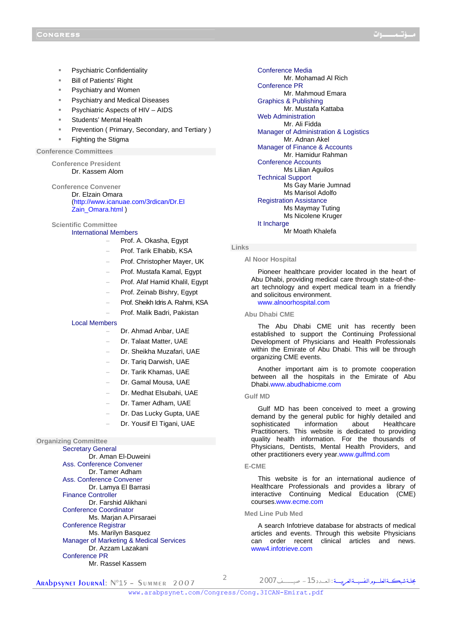- Psychiatric Confidentiality
- Bill of Patients' Right
- Psychiatry and Women
- Psychiatry and Medical Diseases
- Psychiatric Aspects of HIV AIDS
- Students' Mental Health
- Prevention ( Primary, Secondary, and Tertiary )
- Fighting the Stigma

# **Conference Committees**

**Conference President**  Dr. Kassem Alom

**Conference Convener** 

Dr. Elzain Omara (http://www.icanuae.com/3rdican/Dr.El Zain\_Omara.html )

**Scientific Committee**  International Members

- − Prof. A. Okasha, Egypt
- − Prof. Tarik Elhabib, KSA
- − Prof. Christopher Mayer, UK
- − Prof. Mustafa Kamal, Egypt
- − Prof. Afaf Hamid Khalil, Egypt
- − Prof. Zeinab Bishry, Egypt
- − Prof. Sheikh Idris A. Rahmi, KSA
- − Prof. Malik Badri, Pakistan

# Local Members

- − Dr. Ahmad Anbar, UAE
- Dr. Talaat Matter, UAE
- − Dr. Sheikha Muzafari, UAE
- Dr. Tariq Darwish, UAE
- − Dr. Tarik Khamas, UAE
- − Dr. Gamal Mousa, UAE
- − Dr. Medhat Elsubahi, UAE
- − Dr. Tamer Adham, UAE
- Dr. Das Lucky Gupta, UAE
- Dr. Yousif El Tigani, UAE

# **Organizing Committee**

Secretary General Dr. Aman El-Duweini Ass. Conference Convener Dr. Tamer Adham Ass. Conference Convener Dr. Lamya El Barrasi Finance Controller Dr. Farshid Alikhani Conference Coordinator Ms. Marjan A.Pirsaraei Conference Registrar Ms. Marilyn Basquez Manager of Marketing & Medical Services Dr. Azzam Lazakani Conference PR Mr. Rassel Kassem

Conference Media Mr. Mohamad Al Rich Conference PR Mr. Mahmoud Emara Graphics & Publishing Mr. Mustafa Kattaba Web Administration Mr. Ali Fidda Manager of Administration & Logistics Mr. Adnan Akel Manager of Finance & Accounts Mr. Hamidur Rahman Conference Accounts Ms Lilian Aguilos Technical Support Ms Gay Marie Jumnad Ms Marisol Adolfo Registration Assistance Ms Maymay Tuting Ms Nicolene Kruger It Incharge Mr Moath Khalefa

# **Links**

**Al Noor Hospital** 

Pioneer healthcare provider located in the heart of Abu Dhabi, providing medical care through state-of-theart technology and expert medical team in a friendly and solicitous environment. www.alnoorhospital.com

**Abu Dhabi CME**

The Abu Dhabi CME unit has recently been established to support the Continuing Professional Development of Physicians and Health Professionals within the Emirate of Abu Dhabi. This will be through organizing CME events.

Another important aim is to promote cooperation between all the hospitals in the Emirate of Abu Dhabi.www.abudhabicme.com

#### **Gulf MD**

Gulf MD has been conceived to meet a growing demand by the general public for highly detailed and sophisticated information about Healthcare Practitioners. This website is dedicated to providing quality health information. For the thousands of Physicians, Dentists, Mental Health Providers, and other practitioners every year.www.gulfmd.com

#### **E-CME**

This website is for an international audience of Healthcare Professionals and provides a library of interactive Continuing Medical Education (CME) courses.www.ecme.com

# **Med Line Pub Med**

A search Infotrieve database for abstracts of medical articles and events. Through this website Physicians can order recent clinical articles and news. www4.infotrieve.com

Arabpsynet Journal: N°15 – Summer 2007

www.arabpsynet.com/Congress/Cong.3ICAN-Emirat.pdf